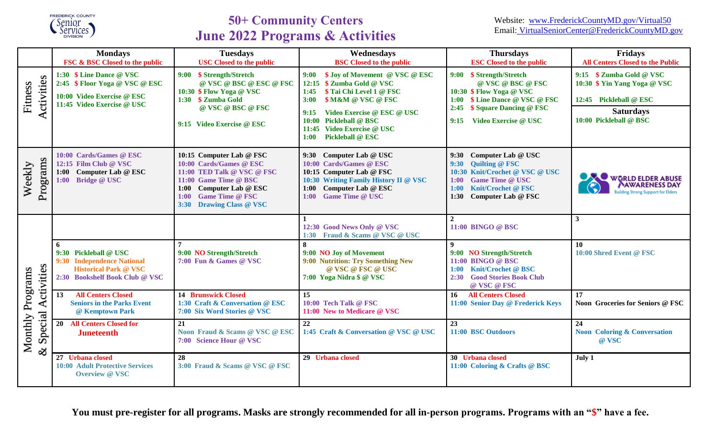

# **50+ Community Centers June 2022 Programs & Activities**

|                                                                              | <b>Mondays</b><br>FSC & BSC Closed to the public                                                                           | <b>Tuesdays</b><br><b>USC Closed to the public</b>                                                                                                                                                               | Wednesdays<br><b>BSC</b> Closed to the public                                                                                                                                                                                                                                              | <b>Thursdays</b><br><b>ESC Closed to the public</b>                                                                                                                                             | Fridays<br><b>All Centers Closed to the Public</b>                                                                               |
|------------------------------------------------------------------------------|----------------------------------------------------------------------------------------------------------------------------|------------------------------------------------------------------------------------------------------------------------------------------------------------------------------------------------------------------|--------------------------------------------------------------------------------------------------------------------------------------------------------------------------------------------------------------------------------------------------------------------------------------------|-------------------------------------------------------------------------------------------------------------------------------------------------------------------------------------------------|----------------------------------------------------------------------------------------------------------------------------------|
| Activities<br>Fitness                                                        | 1:30 \$ Line Dance @ VSC<br>2:45 \$ Floor Yoga @ VSC @ ESC<br>10:00 Video Exercise @ ESC<br>11:45 Video Exercise @ USC     | 9:00 \$ Strength/Stretch<br>@ VSC @ BSC @ ESC @ FSC<br>10:30 \$ Flow Yoga @ VSC<br>1:30 \$ Zumba Gold<br>@ VSC @ BSC @ FSC<br>9:15 Video Exercise @ ESC                                                          | \$ Joy of Movement @ VSC @ ESC<br>9:00<br>12:15 \$ Zumba Gold @ VSC<br>\$ Tai Chi Level 1 @ FSC<br>1:45<br><b>\$M&amp;M @ VSC @ FSC</b><br>3:00<br>Video Exercise @ ESC @ USC<br>9:15<br><b>Pickleball @ BSC</b><br>10:00<br>11:45 Video Exercise @ USC<br><b>Pickleball @ ESC</b><br>1:00 | 9:00 \$ Strength/Stretch<br>@ VSC @ BSC @ FSC<br>10:30 \$ Flow Yoga @ VSC<br>1:00 \$ Line Dance @ VSC @ FSC<br>\$ Square Dancing @ FSC<br>2:45<br>Video Exercise @ USC<br>9:15                  | 9:15 \$ Zumba Gold @ VSC<br>10:30 \$ Yin Yang Yoga @ VSC<br>12:45 Pickleball @ ESC<br><b>Saturdays</b><br>10:00 Pickleball @ BSC |
| Programs<br>Weekly                                                           | 10:00 Cards/Games @ ESC<br>12:15 Film Club @ VSC<br>1:00 Computer Lab @ ESC<br><b>Bridge @ USC</b><br>1:00                 | 10:15 Computer Lab @ FSC<br>10:00 Cards/Games @ ESC<br>11:00 TED Talk @ VSC @ FSC<br>11:00 Game Time @ BSC<br>Computer Lab @ ESC<br>1:00<br><b>Game Time @ FSC</b><br>1:00<br><b>Drawing Class @ VSC</b><br>3:30 | 9:30 Computer Lab @ USC<br>10:00 Cards/Games @ ESC<br>10:15 Computer Lab @ FSC<br>10:30 Writing Family History II @ VSC<br>1:00 Computer Lab @ ESC<br>1:00 Game Time @ USC                                                                                                                 | 9:30 Computer Lab @ USC<br><b>Quilting @ FSC</b><br>9:30<br>10:30 Knit/Crochet @ VSC @ USC<br><b>Game Time @ USC</b><br>1:00<br><b>Knit/Crochet @ FSC</b><br>1:00<br>1:30<br>Computer Lab @ FSC | WORLD ELDER ABUSE<br><b>AWARENESS DAY</b><br>uilding Strong Support for Elders                                                   |
| ctivities<br>Monthly Programs<br>$\blacktriangleleft$<br>Special<br>$\infty$ |                                                                                                                            |                                                                                                                                                                                                                  | 12:30 Good News Only @ VSC<br>1:30 Fraud & Scams @ VSC @ USC                                                                                                                                                                                                                               | $\mathbf{2}$<br>11:00 BINGO @ BSC                                                                                                                                                               | 3                                                                                                                                |
|                                                                              | 6<br>9:30 Pickleball @ USC<br>9:30 Independence National<br><b>Historical Park @ VSC</b><br>2:30 Bookshelf Book Club @ VSC | 9:00 NO Strength/Stretch<br>7:00 Fun & Games @ VSC                                                                                                                                                               | 9:00 NO Joy of Movement<br>9:00 Nutrition: Try Something New<br>@ VSC @ FSC @ USC<br>7:00 Yoga Nidra \$ @ VSC                                                                                                                                                                              | $\boldsymbol{q}$<br>9:00 NO Strength/Stretch<br>11:00 BINGO @ BSC<br><b>Knit/Crochet @ BSC</b><br>1:00<br>2:30 Good Stories Book Club<br>@ VSC @ FSC                                            | 10<br>10:00 Shred Event @ FSC                                                                                                    |
|                                                                              | <b>All Centers Closed</b><br>13<br><b>Seniors in the Parks Event</b><br>@ Kemptown Park                                    | <b>14 Brunswick Closed</b><br>1:30 Craft & Conversation @ ESC<br>7:00 Six Word Stories @ VSC                                                                                                                     | 15<br>10:00 Tech Talk @ FSC<br>11:00 New to Medicare @ VSC                                                                                                                                                                                                                                 | 16 <sup>1</sup><br><b>All Centers Closed</b><br>11:00 Senior Day @ Frederick Keys                                                                                                               | 17<br>Noon Groceries for Seniors @ FSC                                                                                           |
|                                                                              | <b>20 All Centers Closed for</b><br><b>Juneteenth</b>                                                                      | 21<br>Noon Fraud & Scams @ VSC @ ESC<br>7:00 Science Hour @ VSC                                                                                                                                                  | 22<br>1:45 Craft & Conversation @ VSC @ USC                                                                                                                                                                                                                                                | 23<br>11:00 BSC Outdoors                                                                                                                                                                        | 24<br><b>Noon</b> Coloring & Conversation<br>@ VSC                                                                               |
|                                                                              | 27 Urbana closed<br><b>10:00 Adult Protective Services</b><br><b>Overview @ VSC</b>                                        | 28<br>3:00 Fraud & Scams @ VSC @ FSC                                                                                                                                                                             | 29 Urbana closed                                                                                                                                                                                                                                                                           | 30 Urbana closed<br>11:00 Coloring & Crafts @ BSC                                                                                                                                               | July 1                                                                                                                           |

**You must pre-register for all programs. Masks are strongly recommended for all in-person programs. Programs with an "\$" have a fee.**